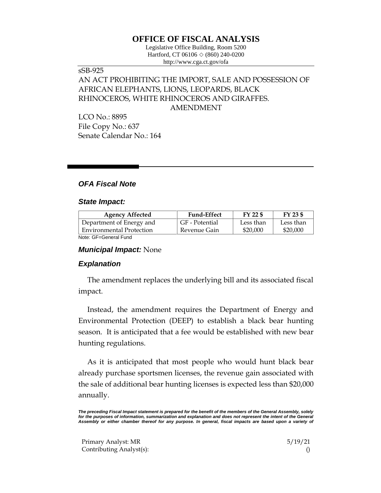# **OFFICE OF FISCAL ANALYSIS**

Legislative Office Building, Room 5200 Hartford, CT 06106  $\Diamond$  (860) 240-0200 http://www.cga.ct.gov/ofa

## sSB-925 AN ACT PROHIBITING THE IMPORT, SALE AND POSSESSION OF AFRICAN ELEPHANTS, LIONS, LEOPARDS, BLACK RHINOCEROS, WHITE RHINOCEROS AND GIRAFFES. AMENDMENT

LCO No.: 8895 File Copy No.: 637 Senate Calendar No.: 164

### *OFA Fiscal Note*

#### *State Impact:*

| <b>Agency Affected</b>          | <b>Fund-Effect</b> | FY 22 \$  | FY 23 \$  |
|---------------------------------|--------------------|-----------|-----------|
| Department of Energy and        | GF - Potential     | Less than | Less than |
| <b>Environmental Protection</b> | Revenue Gain       | \$20,000  | \$20,000  |
| Noto: CE-Conoral Fund           |                    |           |           |

Note: GF=General Fund

#### *Municipal Impact:* None

#### *Explanation*

The amendment replaces the underlying bill and its associated fiscal impact.

Instead, the amendment requires the Department of Energy and Environmental Protection (DEEP) to establish a black bear hunting season. It is anticipated that a fee would be established with new bear hunting regulations.

As it is anticipated that most people who would hunt black bear already purchase sportsmen licenses, the revenue gain associated with the sale of additional bear hunting licenses is expected less than \$20,000 annually.

*The preceding Fiscal Impact statement is prepared for the benefit of the members of the General Assembly, solely*  for the purposes of information, summarization and explanation and does not represent the intent of the General *Assembly or either chamber thereof for any purpose. In general, fiscal impacts are based upon a variety of* 

Primary Analyst: MR 5/19/21 Contributing Analyst(s): ()